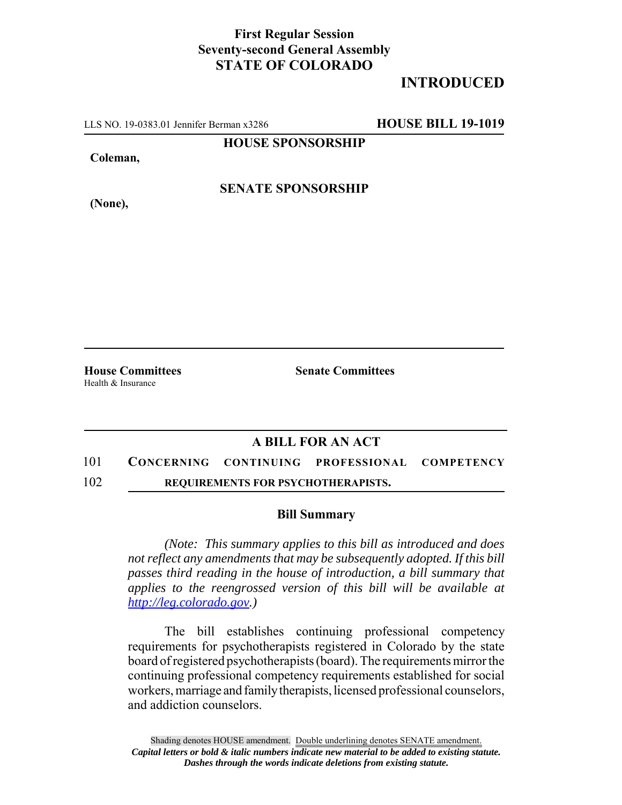## **First Regular Session Seventy-second General Assembly STATE OF COLORADO**

# **INTRODUCED**

LLS NO. 19-0383.01 Jennifer Berman x3286 **HOUSE BILL 19-1019**

**HOUSE SPONSORSHIP**

**Coleman,**

**(None),**

**SENATE SPONSORSHIP**

Health & Insurance

**House Committees Senate Committees** 

## **A BILL FOR AN ACT**

### 101 **CONCERNING CONTINUING PROFESSIONAL COMPETENCY**

102 **REQUIREMENTS FOR PSYCHOTHERAPISTS.**

### **Bill Summary**

*(Note: This summary applies to this bill as introduced and does not reflect any amendments that may be subsequently adopted. If this bill passes third reading in the house of introduction, a bill summary that applies to the reengrossed version of this bill will be available at http://leg.colorado.gov.)*

The bill establishes continuing professional competency requirements for psychotherapists registered in Colorado by the state board of registered psychotherapists (board). The requirements mirror the continuing professional competency requirements established for social workers, marriage and family therapists, licensed professional counselors, and addiction counselors.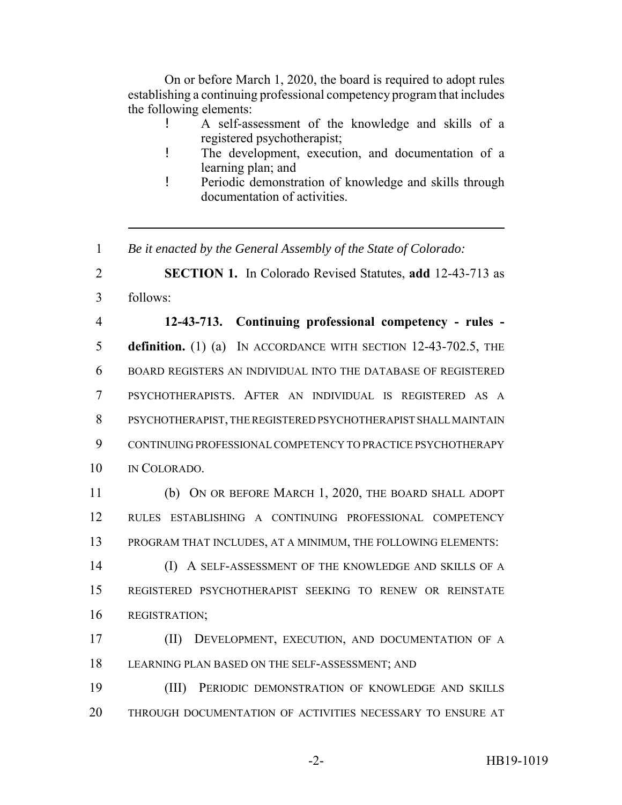On or before March 1, 2020, the board is required to adopt rules establishing a continuing professional competency program that includes the following elements:

- ! A self-assessment of the knowledge and skills of a registered psychotherapist;
- ! The development, execution, and documentation of a learning plan; and
- ! Periodic demonstration of knowledge and skills through documentation of activities.

1 *Be it enacted by the General Assembly of the State of Colorado:*

2 **SECTION 1.** In Colorado Revised Statutes, **add** 12-43-713 as 3 follows:

 **12-43-713. Continuing professional competency - rules - definition.** (1) (a) IN ACCORDANCE WITH SECTION 12-43-702.5, THE BOARD REGISTERS AN INDIVIDUAL INTO THE DATABASE OF REGISTERED PSYCHOTHERAPISTS. AFTER AN INDIVIDUAL IS REGISTERED AS A PSYCHOTHERAPIST, THE REGISTERED PSYCHOTHERAPIST SHALL MAINTAIN CONTINUING PROFESSIONAL COMPETENCY TO PRACTICE PSYCHOTHERAPY 10 IN COLORADO.

11 (b) ON OR BEFORE MARCH 1, 2020, THE BOARD SHALL ADOPT 12 RULES ESTABLISHING A CONTINUING PROFESSIONAL COMPETENCY 13 PROGRAM THAT INCLUDES, AT A MINIMUM, THE FOLLOWING ELEMENTS:

14 (I) A SELF-ASSESSMENT OF THE KNOWLEDGE AND SKILLS OF A 15 REGISTERED PSYCHOTHERAPIST SEEKING TO RENEW OR REINSTATE 16 REGISTRATION;

17 (II) DEVELOPMENT, EXECUTION, AND DOCUMENTATION OF A 18 LEARNING PLAN BASED ON THE SELF-ASSESSMENT; AND

19 (III) PERIODIC DEMONSTRATION OF KNOWLEDGE AND SKILLS 20 THROUGH DOCUMENTATION OF ACTIVITIES NECESSARY TO ENSURE AT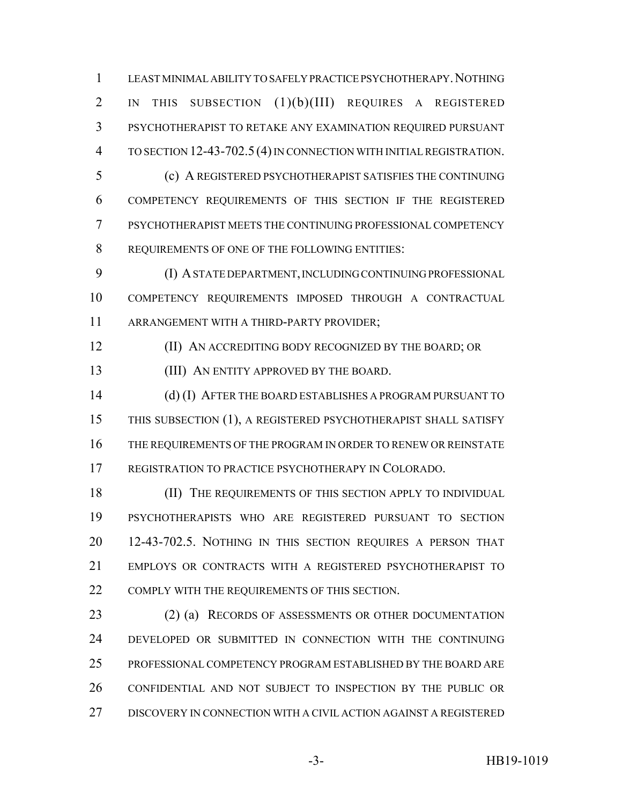LEAST MINIMAL ABILITY TO SAFELY PRACTICE PSYCHOTHERAPY.NOTHING IN THIS SUBSECTION (1)(b)(III) REQUIRES A REGISTERED PSYCHOTHERAPIST TO RETAKE ANY EXAMINATION REQUIRED PURSUANT TO SECTION 12-43-702.5 (4) IN CONNECTION WITH INITIAL REGISTRATION.

 (c) A REGISTERED PSYCHOTHERAPIST SATISFIES THE CONTINUING COMPETENCY REQUIREMENTS OF THIS SECTION IF THE REGISTERED PSYCHOTHERAPIST MEETS THE CONTINUING PROFESSIONAL COMPETENCY REQUIREMENTS OF ONE OF THE FOLLOWING ENTITIES:

 (I) A STATE DEPARTMENT, INCLUDING CONTINUING PROFESSIONAL COMPETENCY REQUIREMENTS IMPOSED THROUGH A CONTRACTUAL ARRANGEMENT WITH A THIRD-PARTY PROVIDER;

**(II) AN ACCREDITING BODY RECOGNIZED BY THE BOARD; OR** 

(III) AN ENTITY APPROVED BY THE BOARD.

 (d) (I) AFTER THE BOARD ESTABLISHES A PROGRAM PURSUANT TO THIS SUBSECTION (1), A REGISTERED PSYCHOTHERAPIST SHALL SATISFY THE REQUIREMENTS OF THE PROGRAM IN ORDER TO RENEW OR REINSTATE REGISTRATION TO PRACTICE PSYCHOTHERAPY IN COLORADO.

18 (II) THE REQUIREMENTS OF THIS SECTION APPLY TO INDIVIDUAL PSYCHOTHERAPISTS WHO ARE REGISTERED PURSUANT TO SECTION 12-43-702.5. NOTHING IN THIS SECTION REQUIRES A PERSON THAT EMPLOYS OR CONTRACTS WITH A REGISTERED PSYCHOTHERAPIST TO COMPLY WITH THE REQUIREMENTS OF THIS SECTION.

23 (2) (a) RECORDS OF ASSESSMENTS OR OTHER DOCUMENTATION DEVELOPED OR SUBMITTED IN CONNECTION WITH THE CONTINUING PROFESSIONAL COMPETENCY PROGRAM ESTABLISHED BY THE BOARD ARE CONFIDENTIAL AND NOT SUBJECT TO INSPECTION BY THE PUBLIC OR DISCOVERY IN CONNECTION WITH A CIVIL ACTION AGAINST A REGISTERED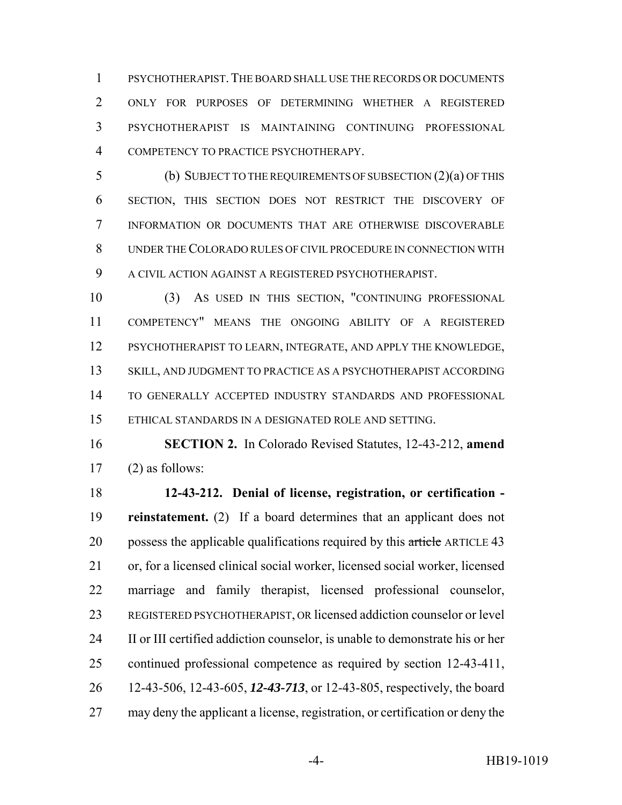PSYCHOTHERAPIST.THE BOARD SHALL USE THE RECORDS OR DOCUMENTS ONLY FOR PURPOSES OF DETERMINING WHETHER A REGISTERED PSYCHOTHERAPIST IS MAINTAINING CONTINUING PROFESSIONAL COMPETENCY TO PRACTICE PSYCHOTHERAPY.

 (b) SUBJECT TO THE REQUIREMENTS OF SUBSECTION (2)(a) OF THIS SECTION, THIS SECTION DOES NOT RESTRICT THE DISCOVERY OF INFORMATION OR DOCUMENTS THAT ARE OTHERWISE DISCOVERABLE UNDER THE COLORADO RULES OF CIVIL PROCEDURE IN CONNECTION WITH A CIVIL ACTION AGAINST A REGISTERED PSYCHOTHERAPIST.

 (3) AS USED IN THIS SECTION, "CONTINUING PROFESSIONAL COMPETENCY" MEANS THE ONGOING ABILITY OF A REGISTERED PSYCHOTHERAPIST TO LEARN, INTEGRATE, AND APPLY THE KNOWLEDGE, SKILL, AND JUDGMENT TO PRACTICE AS A PSYCHOTHERAPIST ACCORDING TO GENERALLY ACCEPTED INDUSTRY STANDARDS AND PROFESSIONAL ETHICAL STANDARDS IN A DESIGNATED ROLE AND SETTING.

 **SECTION 2.** In Colorado Revised Statutes, 12-43-212, **amend** (2) as follows:

 **12-43-212. Denial of license, registration, or certification - reinstatement.** (2) If a board determines that an applicant does not 20 possess the applicable qualifications required by this article ARTICLE 43 or, for a licensed clinical social worker, licensed social worker, licensed marriage and family therapist, licensed professional counselor, REGISTERED PSYCHOTHERAPIST, OR licensed addiction counselor or level II or III certified addiction counselor, is unable to demonstrate his or her continued professional competence as required by section 12-43-411, 12-43-506, 12-43-605, *12-43-713*, or 12-43-805, respectively, the board may deny the applicant a license, registration, or certification or deny the